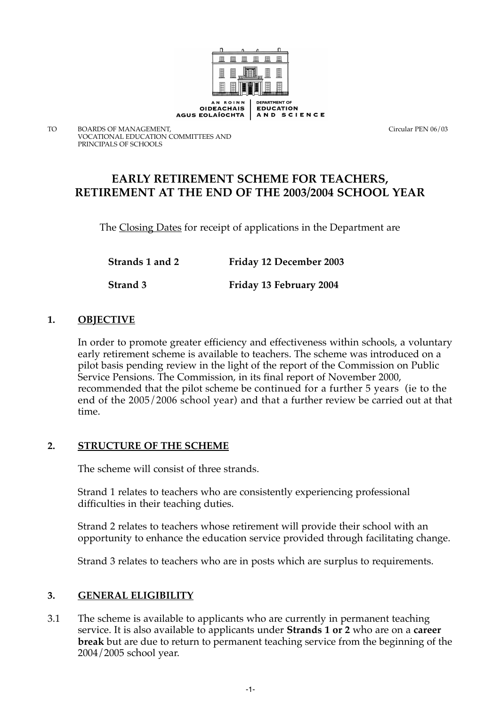

#### TO BOARDS OF MANAGEMENT, THE SERVICE OF MANAGEMENT, THE SERVICE OF MANAGEMENT, VOCATIONAL EDUCATION COMMITTEES AND PRINCIPALS OF SCHOOLS

# **EARLY RETIREMENT SCHEME FOR TEACHERS, RETIREMENT AT THE END OF THE 2003/2004 SCHOOL YEAR**

The Closing Dates for receipt of applications in the Department are

**Strands 1 and 2 Friday 12 December 2003 Strand 3 Friday 13 February 2004**

# **1. OBJECTIVE**

In order to promote greater efficiency and effectiveness within schools, a voluntary early retirement scheme is available to teachers. The scheme was introduced on a pilot basis pending review in the light of the report of the Commission on Public Service Pensions. The Commission, in its final report of November 2000, recommended that the pilot scheme be continued for a further 5 years (ie to the end of the 2005/2006 school year) and that a further review be carried out at that time.

#### **2. STRUCTURE OF THE SCHEME**

The scheme will consist of three strands.

Strand 1 relates to teachers who are consistently experiencing professional difficulties in their teaching duties.

Strand 2 relates to teachers whose retirement will provide their school with an opportunity to enhance the education service provided through facilitating change.

Strand 3 relates to teachers who are in posts which are surplus to requirements.

#### **3. GENERAL ELIGIBILITY**

3.1 The scheme is available to applicants who are currently in permanent teaching service. It is also available to applicants under **Strands 1 or 2** who are on a **career break** but are due to return to permanent teaching service from the beginning of the 2004/2005 school year.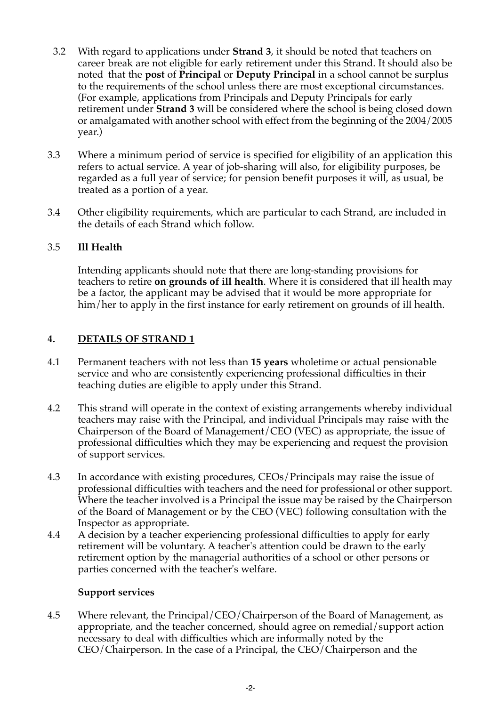- 3.2 With regard to applications under **Strand 3**, it should be noted that teachers on career break are not eligible for early retirement under this Strand. It should also be noted that the **post** of **Principal** or **Deputy Principal** in a school cannot be surplus to the requirements of the school unless there are most exceptional circumstances. (For example, applications from Principals and Deputy Principals for early retirement under **Strand 3** will be considered where the school is being closed down or amalgamated with another school with effect from the beginning of the 2004/2005 year.)
- 3.3 Where a minimum period of service is specified for eligibility of an application this refers to actual service. A year of job-sharing will also, for eligibility purposes, be regarded as a full year of service; for pension benefit purposes it will, as usual, be treated as a portion of a year.
- 3.4 Other eligibility requirements, which are particular to each Strand, are included in the details of each Strand which follow.

# 3.5 **Ill Health**

Intending applicants should note that there are long-standing provisions for teachers to retire **on grounds of ill health**. Where it is considered that ill health may be a factor, the applicant may be advised that it would be more appropriate for him/her to apply in the first instance for early retirement on grounds of ill health.

# **4. DETAILS OF STRAND 1**

- 4.1 Permanent teachers with not less than **15 years** wholetime or actual pensionable service and who are consistently experiencing professional difficulties in their teaching duties are eligible to apply under this Strand.
- 4.2 This strand will operate in the context of existing arrangements whereby individual teachers may raise with the Principal, and individual Principals may raise with the Chairperson of the Board of Management/CEO (VEC) as appropriate, the issue of professional difficulties which they may be experiencing and request the provision of support services.
- 4.3 In accordance with existing procedures, CEOs/Principals may raise the issue of professional difficulties with teachers and the need for professional or other support. Where the teacher involved is a Principal the issue may be raised by the Chairperson of the Board of Management or by the CEO (VEC) following consultation with the Inspector as appropriate.
- 4.4 A decision by a teacher experiencing professional difficulties to apply for early retirement will be voluntary. A teacher's attention could be drawn to the early retirement option by the managerial authorities of a school or other persons or parties concerned with the teacher's welfare.

#### **Support services**

4.5 Where relevant, the Principal/CEO/Chairperson of the Board of Management, as appropriate, and the teacher concerned, should agree on remedial/support action necessary to deal with difficulties which are informally noted by the CEO/Chairperson. In the case of a Principal, the CEO/Chairperson and the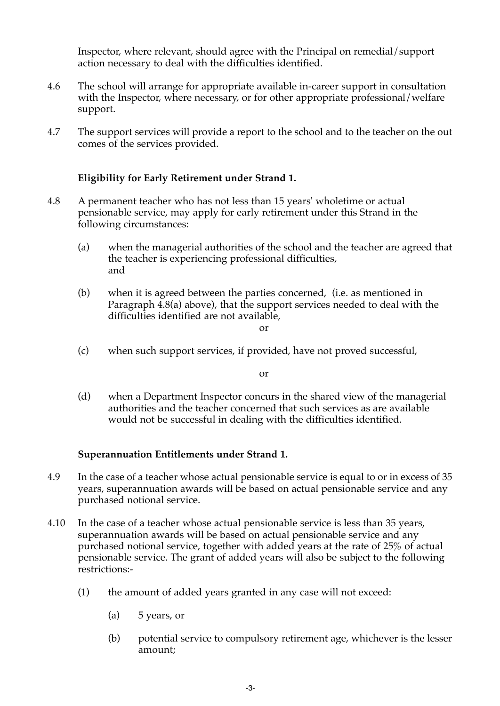Inspector, where relevant, should agree with the Principal on remedial/support action necessary to deal with the difficulties identified.

- 4.6 The school will arrange for appropriate available in-career support in consultation with the Inspector, where necessary, or for other appropriate professional/welfare support.
- 4.7 The support services will provide a report to the school and to the teacher on the out comes of the services provided.

# **Eligibility for Early Retirement under Strand 1.**

- 4.8 A permanent teacher who has not less than 15 years' wholetime or actual pensionable service, may apply for early retirement under this Strand in the following circumstances:
	- (a) when the managerial authorities of the school and the teacher are agreed that the teacher is experiencing professional difficulties, and
	- (b) when it is agreed between the parties concerned, (i.e. as mentioned in Paragraph 4.8(a) above), that the support services needed to deal with the difficulties identified are not available,

or

(c) when such support services, if provided, have not proved successful,

or

(d) when a Department Inspector concurs in the shared view of the managerial authorities and the teacher concerned that such services as are available would not be successful in dealing with the difficulties identified.

# **Superannuation Entitlements under Strand 1.**

- 4.9 In the case of a teacher whose actual pensionable service is equal to or in excess of 35 years, superannuation awards will be based on actual pensionable service and any purchased notional service.
- 4.10 In the case of a teacher whose actual pensionable service is less than 35 years, superannuation awards will be based on actual pensionable service and any purchased notional service, together with added years at the rate of 25% of actual pensionable service. The grant of added years will also be subject to the following restrictions:-
	- (1) the amount of added years granted in any case will not exceed:
		- (a) 5 years, or
		- (b) potential service to compulsory retirement age, whichever is the lesser amount;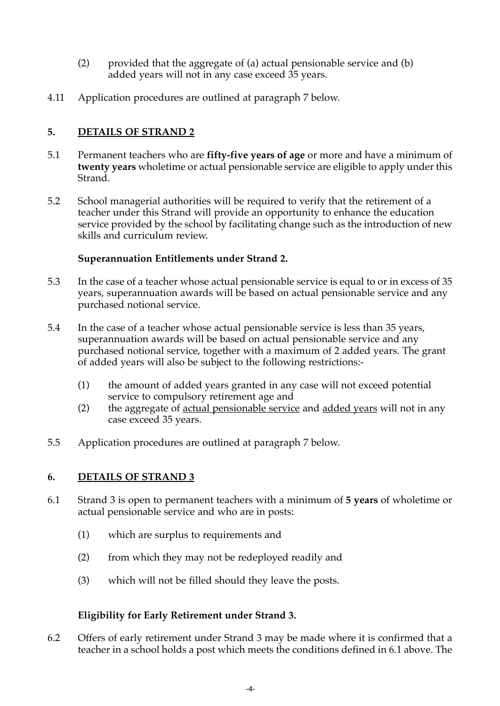- (2) provided that the aggregate of (a) actual pensionable service and (b) added years will not in any case exceed 35 years.
- 4.11 Application procedures are outlined at paragraph 7 below.

# **5. DETAILS OF STRAND 2**

- 5.1 Permanent teachers who are **fifty-five years of age** or more and have a minimum of **twenty years** wholetime or actual pensionable service are eligible to apply under this Strand.
- 5.2 School managerial authorities will be required to verify that the retirement of a teacher under this Strand will provide an opportunity to enhance the education service provided by the school by facilitating change such as the introduction of new skills and curriculum review.

# **Superannuation Entitlements under Strand 2.**

- 5.3 In the case of a teacher whose actual pensionable service is equal to or in excess of 35 years, superannuation awards will be based on actual pensionable service and any purchased notional service.
- 5.4 In the case of a teacher whose actual pensionable service is less than 35 years, superannuation awards will be based on actual pensionable service and any purchased notional service, together with a maximum of 2 added years. The grant of added years will also be subject to the following restrictions:-
	- (1) the amount of added years granted in any case will not exceed potential service to compulsory retirement age and
	- (2) the aggregate of actual pensionable service and added years will not in any case exceed 35 years.
- 5.5 Application procedures are outlined at paragraph 7 below.

# **6. DETAILS OF STRAND 3**

- 6.1 Strand 3 is open to permanent teachers with a minimum of **5 years** of wholetime or actual pensionable service and who are in posts:
	- (1) which are surplus to requirements and
	- (2) from which they may not be redeployed readily and
	- (3) which will not be filled should they leave the posts.

# **Eligibility for Early Retirement under Strand 3.**

6.2 Offers of early retirement under Strand 3 may be made where it is confirmed that a teacher in a school holds a post which meets the conditions defined in 6.1 above. The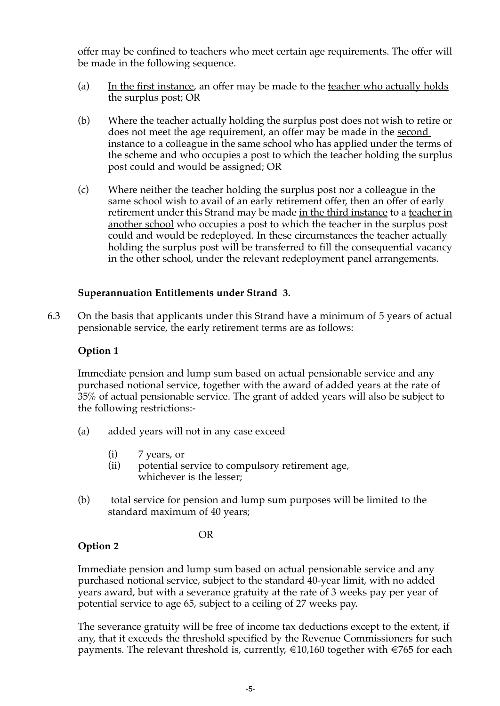offer may be confined to teachers who meet certain age requirements. The offer will be made in the following sequence.

- (a) In the first instance, an offer may be made to the teacher who actually holds the surplus post; OR
- (b) Where the teacher actually holding the surplus post does not wish to retire or does not meet the age requirement, an offer may be made in the second instance to a colleague in the same school who has applied under the terms of the scheme and who occupies a post to which the teacher holding the surplus post could and would be assigned; OR
- (c) Where neither the teacher holding the surplus post nor a colleague in the same school wish to avail of an early retirement offer, then an offer of early retirement under this Strand may be made in the third instance to a teacher in another school who occupies a post to which the teacher in the surplus post could and would be redeployed. In these circumstances the teacher actually holding the surplus post will be transferred to fill the consequential vacancy in the other school, under the relevant redeployment panel arrangements.

# **Superannuation Entitlements under Strand 3.**

6.3 On the basis that applicants under this Strand have a minimum of 5 years of actual pensionable service, the early retirement terms are as follows:

# **Option 1**

Immediate pension and lump sum based on actual pensionable service and any purchased notional service, together with the award of added years at the rate of 35% of actual pensionable service. The grant of added years will also be subject to the following restrictions:-

- (a) added years will not in any case exceed
	- (i) 7 years, or
	- (ii) potential service to compulsory retirement age, whichever is the lesser;
- (b) total service for pension and lump sum purposes will be limited to the standard maximum of 40 years;

#### OR

# **Option 2**

Immediate pension and lump sum based on actual pensionable service and any purchased notional service, subject to the standard 40-year limit, with no added years award, but with a severance gratuity at the rate of 3 weeks pay per year of potential service to age 65, subject to a ceiling of 27 weeks pay.

The severance gratuity will be free of income tax deductions except to the extent, if any, that it exceeds the threshold specified by the Revenue Commissioners for such payments. The relevant threshold is, currently,  $€10,160$  together with  $€765$  for each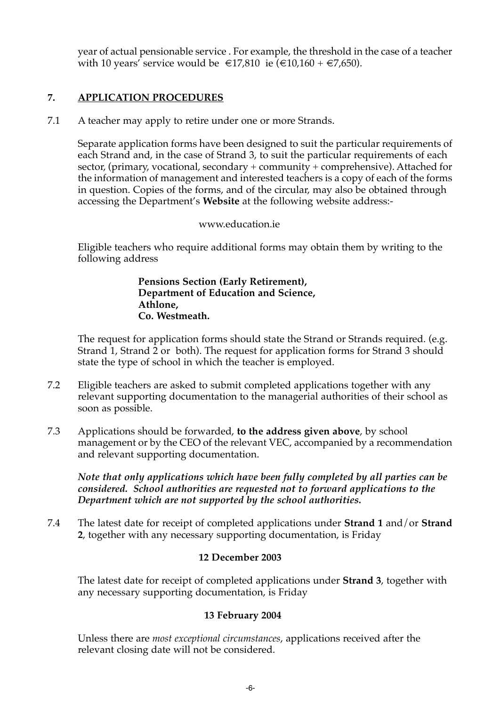year of actual pensionable service . For example, the threshold in the case of a teacher with 10 years' service would be €17,810 ie (€10,160 + €7,650).

# **7. APPLICATION PROCEDURES**

7.1 A teacher may apply to retire under one or more Strands.

Separate application forms have been designed to suit the particular requirements of each Strand and, in the case of Strand 3, to suit the particular requirements of each sector, (primary, vocational, secondary + community + comprehensive). Attached for the information of management and interested teachers is a copy of each of the forms in question. Copies of the forms, and of the circular, may also be obtained through accessing the Department's **Website** at the following website address:-

#### www.education.ie

Eligible teachers who require additional forms may obtain them by writing to the following address

#### **Pensions Section (Early Retirement), Department of Education and Science, Athlone, Co. Westmeath.**

The request for application forms should state the Strand or Strands required. (e.g. Strand 1, Strand 2 or both). The request for application forms for Strand 3 should state the type of school in which the teacher is employed.

- 7.2 Eligible teachers are asked to submit completed applications together with any relevant supporting documentation to the managerial authorities of their school as soon as possible.
- 7.3 Applications should be forwarded, **to the address given above**, by school management or by the CEO of the relevant VEC, accompanied by a recommendation and relevant supporting documentation.

*Note that only applications which have been fully completed by all parties can be considered. School authorities are requested not to forward applications to the Department which are not supported by the school authorities.* 

7.4 The latest date for receipt of completed applications under **Strand 1** and/or **Strand 2**, together with any necessary supporting documentation, is Friday

#### **12 December 2003**

The latest date for receipt of completed applications under **Strand 3**, together with any necessary supporting documentation, is Friday

#### **13 February 2004**

Unless there are *most exceptional circumstances*, applications received after the relevant closing date will not be considered.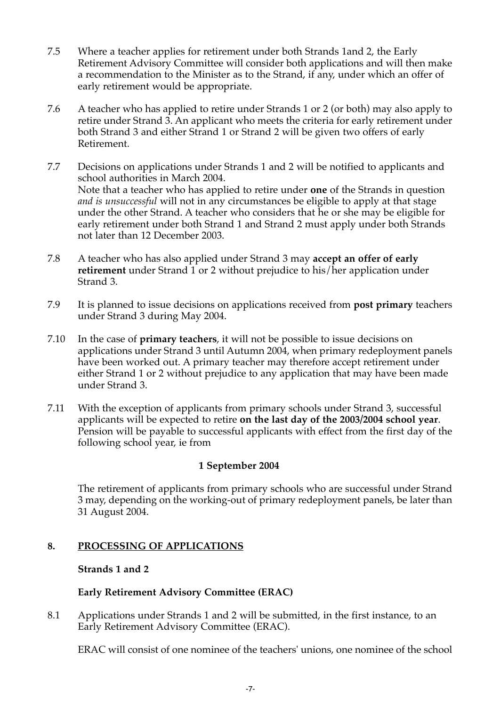- 7.5 Where a teacher applies for retirement under both Strands 1and 2, the Early Retirement Advisory Committee will consider both applications and will then make a recommendation to the Minister as to the Strand, if any, under which an offer of early retirement would be appropriate.
- 7.6 A teacher who has applied to retire under Strands 1 or 2 (or both) may also apply to retire under Strand 3. An applicant who meets the criteria for early retirement under both Strand 3 and either Strand 1 or Strand 2 will be given two offers of early Retirement.
- 7.7 Decisions on applications under Strands 1 and 2 will be notified to applicants and school authorities in March 2004. Note that a teacher who has applied to retire under **one** of the Strands in question *and is unsuccessful* will not in any circumstances be eligible to apply at that stage under the other Strand. A teacher who considers that he or she may be eligible for early retirement under both Strand 1 and Strand 2 must apply under both Strands not later than 12 December 2003.
- 7.8 A teacher who has also applied under Strand 3 may **accept an offer of early retirement** under Strand 1 or 2 without prejudice to his/her application under Strand 3.
- 7.9 It is planned to issue decisions on applications received from **post primary** teachers under Strand 3 during May 2004.
- 7.10 In the case of **primary teachers**, it will not be possible to issue decisions on applications under Strand 3 until Autumn 2004, when primary redeployment panels have been worked out. A primary teacher may therefore accept retirement under either Strand 1 or 2 without prejudice to any application that may have been made under Strand 3.
- 7.11 With the exception of applicants from primary schools under Strand 3, successful applicants will be expected to retire **on the last day of the 2003/2004 school year**. Pension will be payable to successful applicants with effect from the first day of the following school year, ie from

### **1 September 2004**

The retirement of applicants from primary schools who are successful under Strand 3 may, depending on the working-out of primary redeployment panels, be later than 31 August 2004.

# **8. PROCESSING OF APPLICATIONS**

# **Strands 1 and 2**

# **Early Retirement Advisory Committee (ERAC)**

8.1 Applications under Strands 1 and 2 will be submitted, in the first instance, to an Early Retirement Advisory Committee (ERAC).

ERAC will consist of one nominee of the teachers' unions, one nominee of the school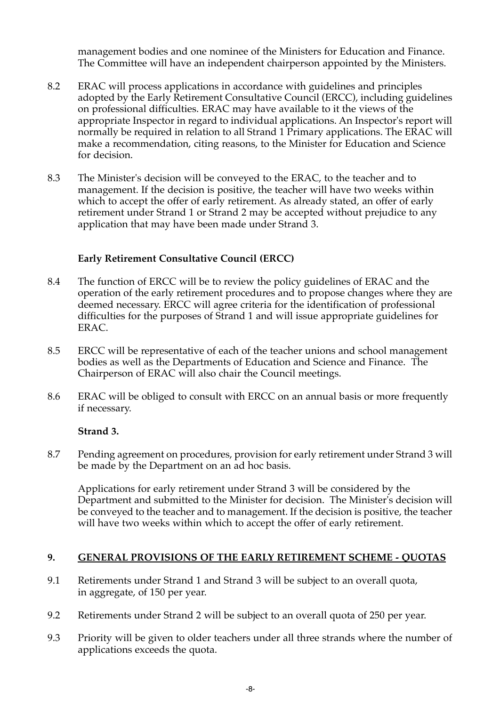management bodies and one nominee of the Ministers for Education and Finance. The Committee will have an independent chairperson appointed by the Ministers.

- 8.2 ERAC will process applications in accordance with guidelines and principles adopted by the Early Retirement Consultative Council (ERCC), including guidelines on professional difficulties. ERAC may have available to it the views of the appropriate Inspector in regard to individual applications. An Inspector's report will normally be required in relation to all Strand 1 Primary applications. The ERAC will make a recommendation, citing reasons, to the Minister for Education and Science for decision.
- 8.3 The Minister's decision will be conveyed to the ERAC, to the teacher and to management. If the decision is positive, the teacher will have two weeks within which to accept the offer of early retirement. As already stated, an offer of early retirement under Strand 1 or Strand 2 may be accepted without prejudice to any application that may have been made under Strand 3.

# **Early Retirement Consultative Council (ERCC)**

- 8.4 The function of ERCC will be to review the policy guidelines of ERAC and the operation of the early retirement procedures and to propose changes where they are deemed necessary. ERCC will agree criteria for the identification of professional difficulties for the purposes of Strand 1 and will issue appropriate guidelines for ERAC.
- 8.5 ERCC will be representative of each of the teacher unions and school management bodies as well as the Departments of Education and Science and Finance. The Chairperson of ERAC will also chair the Council meetings.
- 8.6 ERAC will be obliged to consult with ERCC on an annual basis or more frequently if necessary.

# **Strand 3.**

8.7 Pending agreement on procedures, provision for early retirement under Strand 3 will be made by the Department on an ad hoc basis.

Applications for early retirement under Strand 3 will be considered by the Department and submitted to the Minister for decision. The Minister's decision will be conveyed to the teacher and to management. If the decision is positive, the teacher will have two weeks within which to accept the offer of early retirement.

#### **9. GENERAL PROVISIONS OF THE EARLY RETIREMENT SCHEME - QUOTAS**

- 9.1 Retirements under Strand 1 and Strand 3 will be subject to an overall quota, in aggregate, of 150 per year.
- 9.2 Retirements under Strand 2 will be subject to an overall quota of 250 per year.
- 9.3 Priority will be given to older teachers under all three strands where the number of applications exceeds the quota.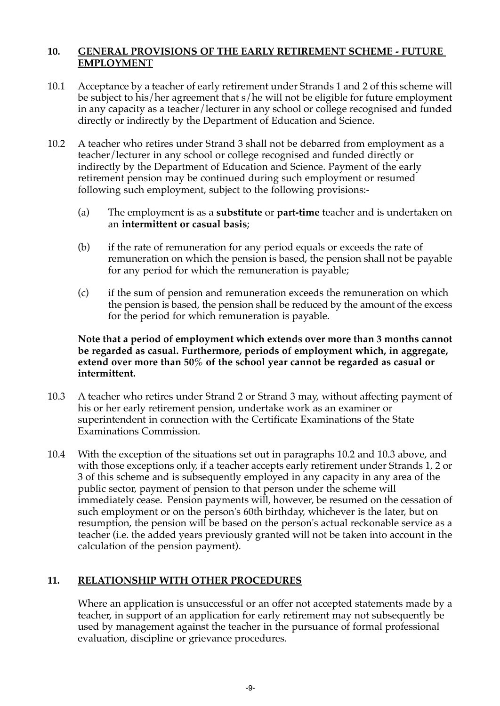# **10. GENERAL PROVISIONS OF THE EARLY RETIREMENT SCHEME - FUTURE EMPLOYMENT**

- 10.1 Acceptance by a teacher of early retirement under Strands 1 and 2 of this scheme will be subject to his/her agreement that s/he will not be eligible for future employment in any capacity as a teacher/lecturer in any school or college recognised and funded directly or indirectly by the Department of Education and Science.
- 10.2 A teacher who retires under Strand 3 shall not be debarred from employment as a teacher/lecturer in any school or college recognised and funded directly or indirectly by the Department of Education and Science. Payment of the early retirement pension may be continued during such employment or resumed following such employment, subject to the following provisions:-
	- (a) The employment is as a **substitute** or **part-time** teacher and is undertaken on an **intermittent or casual basis**;
	- (b) if the rate of remuneration for any period equals or exceeds the rate of remuneration on which the pension is based, the pension shall not be payable for any period for which the remuneration is payable;
	- (c) if the sum of pension and remuneration exceeds the remuneration on which the pension is based, the pension shall be reduced by the amount of the excess for the period for which remuneration is payable.

#### **Note that a period of employment which extends over more than 3 months cannot be regarded as casual. Furthermore, periods of employment which, in aggregate, extend over more than 50% of the school year cannot be regarded as casual or intermittent.**

- 10.3 A teacher who retires under Strand 2 or Strand 3 may, without affecting payment of his or her early retirement pension, undertake work as an examiner or superintendent in connection with the Certificate Examinations of the State Examinations Commission.
- 10.4 With the exception of the situations set out in paragraphs 10.2 and 10.3 above, and with those exceptions only, if a teacher accepts early retirement under Strands 1, 2 or 3 of this scheme and is subsequently employed in any capacity in any area of the public sector, payment of pension to that person under the scheme will immediately cease. Pension payments will, however, be resumed on the cessation of such employment or on the person's 60th birthday, whichever is the later, but on resumption, the pension will be based on the person's actual reckonable service as a teacher (i.e. the added years previously granted will not be taken into account in the calculation of the pension payment).

# **11. RELATIONSHIP WITH OTHER PROCEDURES**

Where an application is unsuccessful or an offer not accepted statements made by a teacher, in support of an application for early retirement may not subsequently be used by management against the teacher in the pursuance of formal professional evaluation, discipline or grievance procedures.